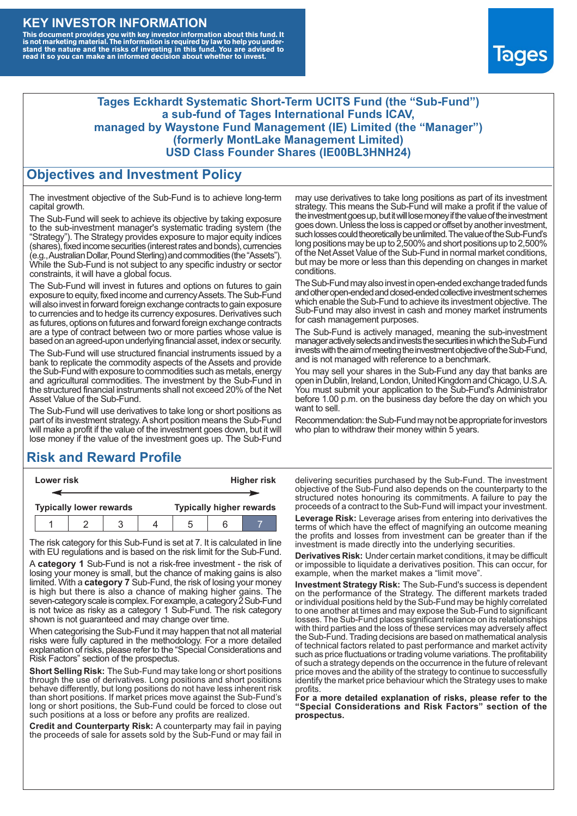### **KEY INVESTOR INFORMATION**

This document provides you with key investor information about this fund. It<br>is not marketing material. The information is required by law to help you under-<br>stand the nature and the risks of investing in this fund. You ar



#### **Tages Eckhardt Systematic Short-Term UCITS Fund (the "Sub-Fund") a sub-fund of Tages International Funds ICAV, managed by Waystone Fund Management (IE) Limited (the "Manager") (formerly MontLake Management Limited) USD Class Founder Shares (IE00BL3HNH24)**

### **Objectives and Investment Policy**

The investment objective of the Sub-Fund is to achieve long-term capital growth.

The Sub-Fund will seek to achieve its objective by taking exposure to the sub-investment manager's systematic trading system (the "Strategy"). The Strategy provides exposure to major equity indices (shares),fixed income securities (interest rates and bonds), currencies (e.g.,AustralianDollar,PoundSterling)and commodities (the "Assets"). While the Sub-Fund is not subject to any specific industry or sector constraints, it will have a global focus.

The Sub-Fund will invest in futures and options on futures to gain exposure to equity, fixed income and currency Assets. The Sub-Fund will also invest in forward foreign exchange contracts to gain exposure to currencies and to hedge its currency exposures. Derivatives such as futures, options on futures and forward foreign exchange contracts are a type of contract between two or more parties whose value is based on an agreed-upon underlying financial asset, index or security.

The Sub-Fund will use structured financial instruments issued by a bank to replicate the commodity aspects of the Assets and provide the Sub-Fund with exposure to commodities such as metals, energy and agricultural commodities. The investment by the Sub-Fund in the structured financial instruments shall not exceed 20% of the Net Asset Value of the Sub-Fund.

The Sub-Fund will use derivatives to take long or short positions as part of its investment strategy.A short position means the Sub-Fund will make a profit if the value of the investment goes down, but it will lose money if the value of the investment goes up. The Sub-Fund

# **Risk and Reward Profile**

| Lower risk                     |  |  |  | <b>Higher risk</b>              |  |  |
|--------------------------------|--|--|--|---------------------------------|--|--|
|                                |  |  |  |                                 |  |  |
| <b>Typically lower rewards</b> |  |  |  | <b>Typically higher rewards</b> |  |  |
|                                |  |  |  | ۰.                              |  |  |

The risk category for this Sub-Fund is set at 7. It is calculated in line with EU regulations and is based on the risk limit for the Sub-Fund.

A **category 1** Sub-Fund is not a risk-free investment - the risk of losing your money is small, but the chance of making gains is also limited. With a **category 7** Sub-Fund, the risk of losing your money is high but there is also a chance of making higher gains. The seven-category scale is complex. For example, a category 2 Sub-Fund is not twice as risky as a category 1 Sub-Fund. The risk category shown is not guaranteed and may change over time.

When categorising the Sub-Fund it may happen that not all material risks were fully captured in the methodology. For a more detailed explanation of risks, please refer to the "Special Considerations and Risk Factors" section of the prospectus.

**Short Selling Risk:** The Sub-Fund may take long or short positions through the use of derivatives. Long positions and short positions behave differently, but long positions do not have less inherent risk than short positions. If market prices move against the Sub-Fund's long or short positions, the Sub-Fund could be forced to close out such positions at a loss or before any profits are realized.

**Credit and Counterparty Risk:** A counterparty may fail in paying the proceeds of sale for assets sold by the Sub-Fund or may fail in may use derivatives to take long positions as part of its investment strategy. This means the Sub-Fund will make a profit if the value of the investment goes up, but it will lose money if the value of the investment goes down. Unless the loss is capped or offset by another investment, such losses could theoretically be unlimited. The value of the Sub-Fund's long positions may be up to 2,500% and short positions up to 2,500% of the NetAsset Value of the Sub-Fund in normal market conditions, but may be more or less than this depending on changes in market conditions.

The Sub-Fund may also invest in open-ended exchange traded funds and other open-ended and closed-ended collective investment schemes which enable the Sub-Fund to achieve its investment objective. The Sub-Fund may also invest in cash and money market instruments for cash management purposes.

The Sub-Fund is actively managed, meaning the sub-investment manager actively selects and invests the securities in which the Sub-Fund invests with the aim of meeting the investment objective of the Sub-Fund, and is not managed with reference to a benchmark.

You may sell your shares in the Sub-Fund any day that banks are open in Dublin, Ireland, London, United Kingdom and Chicago, U.S.A. You must submit your application to the Sub-Fund's Administrator before 1.00 p.m. on the business day before the day on which you want to sell.

Recommendation: the Sub-Fund may not be appropriate for investors who plan to withdraw their money within 5 years.

delivering securities purchased by the Sub-Fund. The investment objective of the Sub-Fund also depends on the counterparty to the structured notes honouring its commitments. A failure to pay the proceeds of a contract to the Sub-Fund will impact your investment.

**Leverage Risk:** Leverage arises from entering into derivatives the terms of which have the effect of magnifying an outcome meaning the profits and losses from investment can be greater than if the investment is made directly into the underlying securities.

**Derivatives Risk:** Under certain market conditions, it may be difficult or impossible to liquidate a derivatives position. This can occur, for example, when the market makes a "limit move".

**Investment Strategy Risk:** The Sub-Fund's success is dependent on the performance of the Strategy. The different markets traded or individual positions held by the Sub-Fund may be highly correlated to one another at times and may expose the Sub-Fund to significant losses. The Sub-Fund places significant reliance on its relationships with third parties and the loss of these services may adversely affect the Sub-Fund. Trading decisions are based on mathematical analysis of technical factors related to past performance and market activity such as price fluctuations or trading volume variations. The profitability of such a strategy depends on the occurrence in the future of relevant price moves and the ability of the strategy to continue to successfully identify the market price behaviour which the Strategy uses to make profits.

**For a more detailed explanation of risks, please refer to the "Special Considerations and Risk Factors" section of the prospectus.**